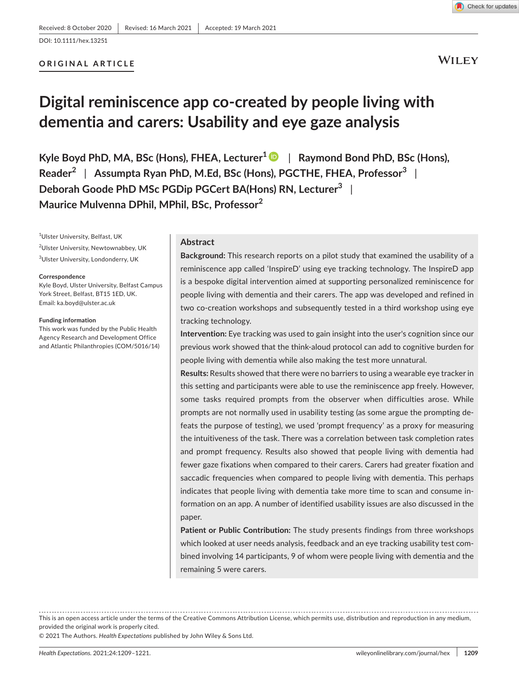## DOI: 10.1111/hex.13251

# **ORIGINAL ARTICLE**

**WILEY** 

# **Digital reminiscence app co-created by people living with dementia and carers: Usability and eye gaze analysis**

**Kyle Boyd PhD, MA, BSc (Hons), FHEA, Lecturer[1](https://orcid.org/0000-0002-5161-4833)** | **Raymond Bond PhD, BSc (Hons), Reader<sup>2</sup>** | **Assumpta Ryan PhD, M.Ed, BSc (Hons), PGCTHE, FHEA, Professor<sup>3</sup>** | **Deborah Goode PhD MSc PGDip PGCert BA(Hons) RN, Lecturer<sup>3</sup>** | **Maurice Mulvenna DPhil, MPhil, BSc, Professor<sup>2</sup>**

1 Ulster University, Belfast, UK <sup>2</sup>Ulster University, Newtownabbey, UK 3 Ulster University, Londonderry, UK

#### **Correspondence**

Kyle Boyd, Ulster University, Belfast Campus York Street, Belfast, BT15 1ED, UK. Email: [ka.boyd@ulster.ac.uk](mailto:ka.boyd@ulster.ac.uk)

#### **Funding information**

This work was funded by the Public Health Agency Research and Development Office and Atlantic Philanthropies (COM/5016/14)

#### **Abstract**

**Background:** This research reports on a pilot study that examined the usability of a reminiscence app called 'InspireD' using eye tracking technology. The InspireD app is a bespoke digital intervention aimed at supporting personalized reminiscence for people living with dementia and their carers. The app was developed and refined in two co-creation workshops and subsequently tested in a third workshop using eye tracking technology.

**Intervention:** Eye tracking was used to gain insight into the user's cognition since our previous work showed that the think-aloud protocol can add to cognitive burden for people living with dementia while also making the test more unnatural.

**Results:** Results showed that there were no barriers to using a wearable eye tracker in this setting and participants were able to use the reminiscence app freely. However, some tasks required prompts from the observer when difficulties arose. While prompts are not normally used in usability testing (as some argue the prompting defeats the purpose of testing), we used 'prompt frequency' as a proxy for measuring the intuitiveness of the task. There was a correlation between task completion rates and prompt frequency. Results also showed that people living with dementia had fewer gaze fixations when compared to their carers. Carers had greater fixation and saccadic frequencies when compared to people living with dementia. This perhaps indicates that people living with dementia take more time to scan and consume information on an app. A number of identified usability issues are also discussed in the paper.

**Patient or Public Contribution:** The study presents findings from three workshops which looked at user needs analysis, feedback and an eye tracking usability test combined involving 14 participants, 9 of whom were people living with dementia and the remaining 5 were carers.

This is an open access article under the terms of the [Creative Commons Attribution](http://creativecommons.org/licenses/by/4.0/) License, which permits use, distribution and reproduction in any medium, provided the original work is properly cited.

© 2021 The Authors. *Health Expectations* published by John Wiley & Sons Ltd.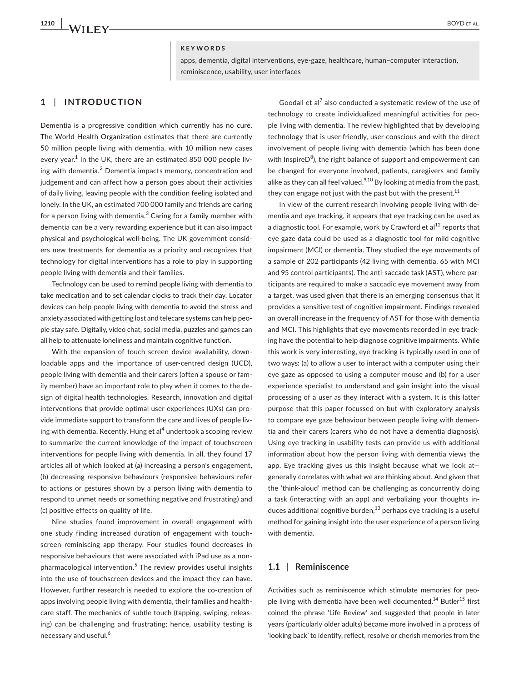## **KEYWORDS**

apps, dementia, digital interventions, eye-gaze, healthcare, human–computer interaction, reminiscence, usability, user interfaces

# **1** | **INTRODUCTION**

Dementia is a progressive condition which currently has no cure. The World Health Organization estimates that there are currently 50 million people living with dementia, with 10 million new cases every year. $^1$  In the UK, there are an estimated 850 000 people living with dementia.<sup>2</sup> Dementia impacts memory, concentration and judgement and can affect how a person goes about their activities of daily living, leaving people with the condition feeling isolated and lonely. In the UK, an estimated 700 000 family and friends are caring for a person living with dementia. $^3$  Caring for a family member with dementia can be a very rewarding experience but it can also impact physical and psychological well-being. The UK government considers new treatments for dementia as a priority and recognizes that technology for digital interventions has a role to play in supporting people living with dementia and their families.

Technology can be used to remind people living with dementia to take medication and to set calendar clocks to track their day. Locator devices can help people living with dementia to avoid the stress and anxiety associated with getting lost and telecare systems can help people stay safe. Digitally, video chat, social media, puzzles and games can all help to attenuate loneliness and maintain cognitive function.

With the expansion of touch screen device availability, downloadable apps and the importance of user-centred design (UCD), people living with dementia and their carers (often a spouse or family member) have an important role to play when it comes to the design of digital health technologies. Research, innovation and digital interventions that provide optimal user experiences (UXs) can provide immediate support to transform the care and lives of people living with dementia. Recently, Hung et al<sup>4</sup> undertook a scoping review to summarize the current knowledge of the impact of touchscreen interventions for people living with dementia. In all, they found 17 articles all of which looked at (a) increasing a person's engagement, (b) decreasing responsive behaviours (responsive behaviours refer to actions or gestures shown by a person living with dementia to respond to unmet needs or something negative and frustrating) and (c) positive effects on quality of life.

Nine studies found improvement in overall engagement with one study finding increased duration of engagement with touchscreen reminiscing app therapy. Four studies found decreases in responsive behaviours that were associated with iPad use as a nonpharmacological intervention.<sup>5</sup> The review provides useful insights into the use of touchscreen devices and the impact they can have. However, further research is needed to explore the co-creation of apps involving people living with dementia, their families and healthcare staff. The mechanics of subtle touch (tapping, swiping, releasing) can be challenging and frustrating; hence, usability testing is necessary and useful.<sup>6</sup>

Goodall et al<sup>7</sup> also conducted a systematic review of the use of technology to create individualized meaningful activities for people living with dementia. The review highlighted that by developing technology that is user-friendly, user conscious and with the direct involvement of people living with dementia (which has been done with Inspire $\mathsf{D}^8$ ), the right balance of support and empowerment can be changed for everyone involved, patients, caregivers and family alike as they can all feel valued.<sup>9,10</sup> By looking at media from the past, they can engage not just with the past but with the present.<sup>11</sup>

In view of the current research involving people living with dementia and eye tracking, it appears that eye tracking can be used as a diagnostic tool. For example, work by Crawford et  $al<sup>12</sup>$  reports that eye gaze data could be used as a diagnostic tool for mild cognitive impairment (MCI) or dementia. They studied the eye movements of a sample of 202 participants (42 living with dementia, 65 with MCI and 95 control participants). The anti-saccade task (AST), where participants are required to make a saccadic eye movement away from a target, was used given that there is an emerging consensus that it provides a sensitive test of cognitive impairment. Findings revealed an overall increase in the frequency of AST for those with dementia and MCI. This highlights that eye movements recorded in eye tracking have the potential to help diagnose cognitive impairments. While this work is very interesting, eye tracking is typically used in one of two ways: (a) to allow a user to interact with a computer using their eye gaze as opposed to using a computer mouse and (b) for a user experience specialist to understand and gain insight into the visual processing of a user as they interact with a system. It is this latter purpose that this paper focussed on but with exploratory analysis to compare eye gaze behaviour between people living with dementia and their carers (carers who do not have a dementia diagnosis). Using eye tracking in usability tests can provide us with additional information about how the person living with dementia views the app. Eye tracking gives us this insight because what we look at generally correlates with what we are thinking about. And given that the 'think-aloud' method can be challenging as concurrently doing a task (interacting with an app) and verbalizing your thoughts induces additional cognitive burden, $^{13}$  perhaps eye tracking is a useful method for gaining insight into the user experience of a person living with dementia.

## **1.1** | **Reminiscence**

Activities such as reminiscence which stimulate memories for people living with dementia have been well documented.<sup>14</sup> Butler<sup>15</sup> first coined the phrase 'Life Review' and suggested that people in later years (particularly older adults) became more involved in a process of 'looking back' to identify, reflect, resolve or cherish memories from the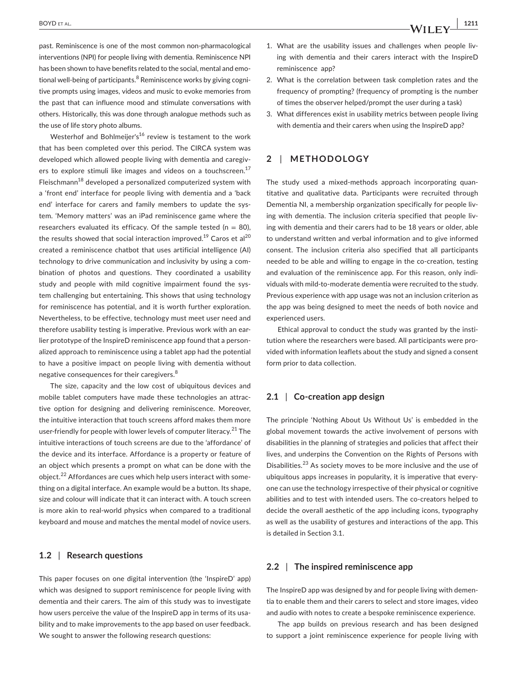past. Reminiscence is one of the most common non-pharmacological interventions (NPI) for people living with dementia. Reminiscence NPI has been shown to have benefits related to the social, mental and emotional well-being of participants. $^8$  Reminiscence works by giving cognitive prompts using images, videos and music to evoke memories from the past that can influence mood and stimulate conversations with others. Historically, this was done through analogue methods such as the use of life story photo albums.

Westerhof and Bohlmeijer's<sup>16</sup> review is testament to the work that has been completed over this period. The CIRCA system was developed which allowed people living with dementia and caregivers to explore stimuli like images and videos on a touchscreen.<sup>17</sup> Fleischmann<sup>18</sup> developed a personalized computerized system with a 'front end' interface for people living with dementia and a 'back end' interface for carers and family members to update the system. 'Memory matters' was an iPad reminiscence game where the researchers evaluated its efficacy. Of the sample tested ( $n = 80$ ), the results showed that social interaction improved.<sup>19</sup> Caros et al<sup>20</sup> created a reminiscence chatbot that uses artificial intelligence (AI) technology to drive communication and inclusivity by using a combination of photos and questions. They coordinated a usability study and people with mild cognitive impairment found the system challenging but entertaining. This shows that using technology for reminiscence has potential, and it is worth further exploration. Nevertheless, to be effective, technology must meet user need and therefore usability testing is imperative. Previous work with an earlier prototype of the InspireD reminiscence app found that a personalized approach to reminiscence using a tablet app had the potential to have a positive impact on people living with dementia without negative consequences for their caregivers.<sup>8</sup>

The size, capacity and the low cost of ubiquitous devices and mobile tablet computers have made these technologies an attractive option for designing and delivering reminiscence. Moreover, the intuitive interaction that touch screens afford makes them more user-friendly for people with lower levels of computer literacy.<sup>21</sup> The intuitive interactions of touch screens are due to the 'affordance' of the device and its interface. Affordance is a property or feature of an object which presents a prompt on what can be done with the object.<sup>22</sup> Affordances are cues which help users interact with something on a digital interface. An example would be a button. Its shape, size and colour will indicate that it can interact with. A touch screen is more akin to real-world physics when compared to a traditional keyboard and mouse and matches the mental model of novice users.

## **1.2** | **Research questions**

This paper focuses on one digital intervention (the 'InspireD' app) which was designed to support reminiscence for people living with dementia and their carers. The aim of this study was to investigate how users perceive the value of the InspireD app in terms of its usability and to make improvements to the app based on user feedback. We sought to answer the following research questions:

- 1. What are the usability issues and challenges when people living with dementia and their carers interact with the InspireD reminiscence app?
- 2. What is the correlation between task completion rates and the frequency of prompting? (frequency of prompting is the number of times the observer helped/prompt the user during a task)
- 3. What differences exist in usability metrics between people living with dementia and their carers when using the InspireD app?

## **2** | **METHODOLOGY**

The study used a mixed-methods approach incorporating quantitative and qualitative data. Participants were recruited through Dementia NI, a membership organization specifically for people living with dementia. The inclusion criteria specified that people living with dementia and their carers had to be 18 years or older, able to understand written and verbal information and to give informed consent. The inclusion criteria also specified that all participants needed to be able and willing to engage in the co-creation, testing and evaluation of the reminiscence app. For this reason, only individuals with mild-to-moderate dementia were recruited to the study. Previous experience with app usage was not an inclusion criterion as the app was being designed to meet the needs of both novice and experienced users.

Ethical approval to conduct the study was granted by the institution where the researchers were based. All participants were provided with information leaflets about the study and signed a consent form prior to data collection.

## **2.1** | **Co-creation app design**

The principle 'Nothing About Us Without Us' is embedded in the global movement towards the active involvement of persons with disabilities in the planning of strategies and policies that affect their lives, and underpins the Convention on the Rights of Persons with Disabilities.<sup>23</sup> As society moves to be more inclusive and the use of ubiquitous apps increases in popularity, it is imperative that everyone can use the technology irrespective of their physical or cognitive abilities and to test with intended users. The co-creators helped to decide the overall aesthetic of the app including icons, typography as well as the usability of gestures and interactions of the app. This is detailed in Section 3.1.

### **2.2** | **The inspired reminiscence app**

The InspireD app was designed by and for people living with dementia to enable them and their carers to select and store images, video and audio with notes to create a bespoke reminiscence experience.

The app builds on previous research and has been designed to support a joint reminiscence experience for people living with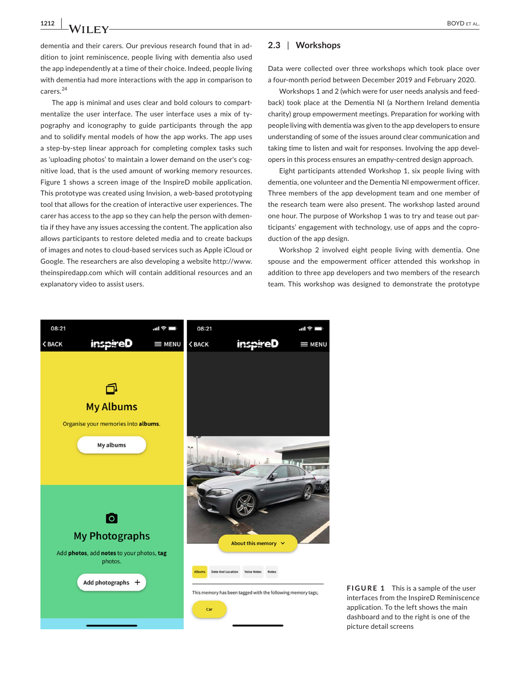**1212 | A/II FY** BOYD ET AL.

dementia and their carers. Our previous research found that in addition to joint reminiscence, people living with dementia also used the app independently at a time of their choice. Indeed, people living with dementia had more interactions with the app in comparison to carers.<sup>24</sup>

The app is minimal and uses clear and bold colours to compartmentalize the user interface. The user interface uses a mix of typography and iconography to guide participants through the app and to solidify mental models of how the app works. The app uses a step-by-step linear approach for completing complex tasks such as 'uploading photos' to maintain a lower demand on the user's cognitive load, that is the used amount of working memory resources. Figure 1 shows a screen image of the InspireD mobile application. This prototype was created using Invision, a web-based prototyping tool that allows for the creation of interactive user experiences. The carer has access to the app so they can help the person with dementia if they have any issues accessing the content. The application also allows participants to restore deleted media and to create backups of images and notes to cloud-based services such as Apple iCloud or Google. The researchers are also developing a website [http://www.](http://www.theinspiredapp.com) [theinspiredapp.com](http://www.theinspiredapp.com) which will contain additional resources and an explanatory video to assist users.

## **2.3** | **Workshops**

Data were collected over three workshops which took place over a four-month period between December 2019 and February 2020.

Workshops 1 and 2 (which were for user needs analysis and feedback) took place at the Dementia NI (a Northern Ireland dementia charity) group empowerment meetings. Preparation for working with people living with dementia was given to the app developers to ensure understanding of some of the issues around clear communication and taking time to listen and wait for responses. Involving the app developers in this process ensures an empathy-centred design approach.

Eight participants attended Workshop 1, six people living with dementia, one volunteer and the Dementia NI empowerment officer. Three members of the app development team and one member of the research team were also present. The workshop lasted around one hour. The purpose of Workshop 1 was to try and tease out participants' engagement with technology, use of apps and the coproduction of the app design.

Workshop 2 involved eight people living with dementia. One spouse and the empowerment officer attended this workshop in addition to three app developers and two members of the research team. This workshop was designed to demonstrate the prototype



**FIGURE 1** This is a sample of the user interfaces from the InspireD Reminiscence application. To the left shows the main dashboard and to the right is one of the picture detail screens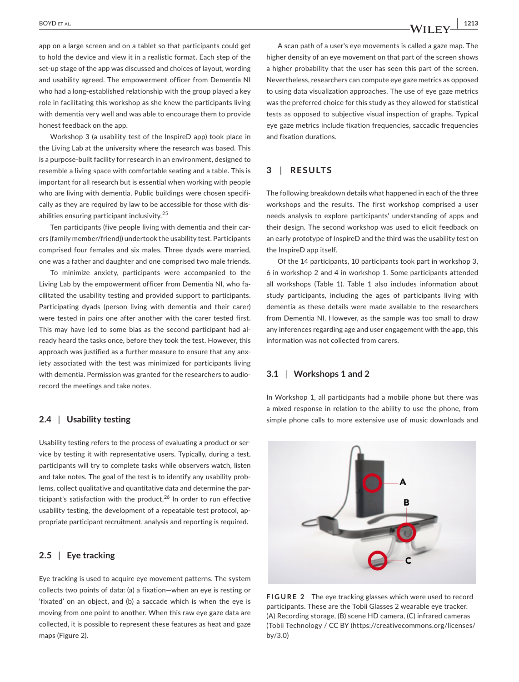app on a large screen and on a tablet so that participants could get to hold the device and view it in a realistic format. Each step of the set-up stage of the app was discussed and choices of layout, wording and usability agreed. The empowerment officer from Dementia NI who had a long-established relationship with the group played a key role in facilitating this workshop as she knew the participants living with dementia very well and was able to encourage them to provide honest feedback on the app.

Workshop 3 (a usability test of the InspireD app) took place in the Living Lab at the university where the research was based. This is a purpose-built facility for research in an environment, designed to resemble a living space with comfortable seating and a table. This is important for all research but is essential when working with people who are living with dementia. Public buildings were chosen specifically as they are required by law to be accessible for those with disabilities ensuring participant inclusivity.<sup>25</sup>

Ten participants (five people living with dementia and their carers (family member/friend)) undertook the usability test. Participants comprised four females and six males. Three dyads were married, one was a father and daughter and one comprised two male friends.

To minimize anxiety, participants were accompanied to the Living Lab by the empowerment officer from Dementia NI, who facilitated the usability testing and provided support to participants. Participating dyads (person living with dementia and their carer) were tested in pairs one after another with the carer tested first. This may have led to some bias as the second participant had already heard the tasks once, before they took the test. However, this approach was justified as a further measure to ensure that any anxiety associated with the test was minimized for participants living with dementia. Permission was granted for the researchers to audiorecord the meetings and take notes.

## **2.4** | **Usability testing**

Usability testing refers to the process of evaluating a product or service by testing it with representative users. Typically, during a test, participants will try to complete tasks while observers watch, listen and take notes. The goal of the test is to identify any usability problems, collect qualitative and quantitative data and determine the participant's satisfaction with the product.<sup>26</sup> In order to run effective usability testing, the development of a repeatable test protocol, appropriate participant recruitment, analysis and reporting is required.

## **2.5** | **Eye tracking**

Eye tracking is used to acquire eye movement patterns. The system collects two points of data: (a) a fixation—when an eye is resting or 'fixated' on an object, and (b) a saccade which is when the eye is moving from one point to another. When this raw eye gaze data are collected, it is possible to represent these features as heat and gaze maps (Figure 2).

A scan path of a user's eye movements is called a gaze map. The higher density of an eye movement on that part of the screen shows a higher probability that the user has seen this part of the screen. Nevertheless, researchers can compute eye gaze metrics as opposed to using data visualization approaches. The use of eye gaze metrics was the preferred choice for this study as they allowed for statistical tests as opposed to subjective visual inspection of graphs. Typical eye gaze metrics include fixation frequencies, saccadic frequencies and fixation durations.

# **3** | **RESULTS**

The following breakdown details what happened in each of the three workshops and the results. The first workshop comprised a user needs analysis to explore participants' understanding of apps and their design. The second workshop was used to elicit feedback on an early prototype of InspireD and the third was the usability test on the InspireD app itself.

Of the 14 participants, 10 participants took part in workshop 3, 6 in workshop 2 and 4 in workshop 1. Some participants attended all workshops (Table 1). Table 1 also includes information about study participants, including the ages of participants living with dementia as these details were made available to the researchers from Dementia NI. However, as the sample was too small to draw any inferences regarding age and user engagement with the app, this information was not collected from carers.

## **3.1** | **Workshops 1 and 2**

In Workshop 1, all participants had a mobile phone but there was a mixed response in relation to the ability to use the phone, from simple phone calls to more extensive use of music downloads and



**FIGURE 2** The eye tracking glasses which were used to record participants. These are the Tobii Glasses 2 wearable eye tracker. (A) Recording storage, (B) scene HD camera, (C) infrared cameras (Tobii Technology / CC BY ([https://creativecommons.org/licenses/](https://creativecommons.org/licenses/by/3.0) [by/3.0](https://creativecommons.org/licenses/by/3.0))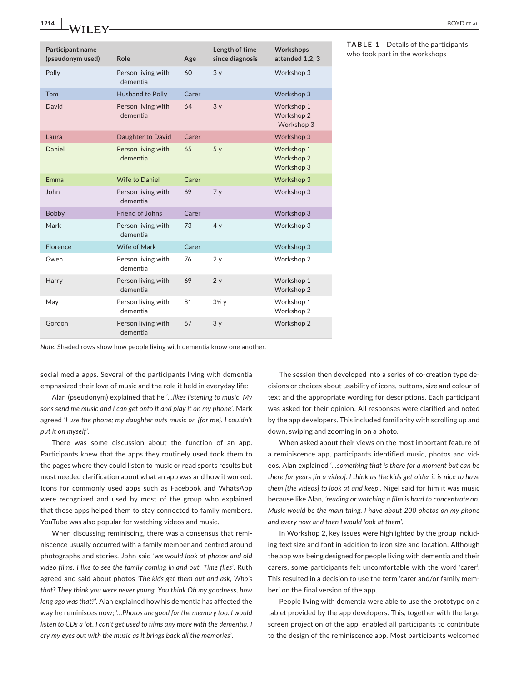| Participant name<br>(pseudonym used) | Role                           | Age   | Length of time<br>since diagnosis | Workshops<br>attended 1,2,3            |
|--------------------------------------|--------------------------------|-------|-----------------------------------|----------------------------------------|
| Polly                                | Person living with<br>dementia | 60    | 3y                                | Workshop 3                             |
| Tom                                  | <b>Husband to Polly</b>        | Carer |                                   | Workshop 3                             |
| David                                | Person living with<br>dementia | 64    | 3y                                | Workshop 1<br>Workshop 2<br>Workshop 3 |
| Laura                                | Daughter to David              | Carer |                                   | Workshop 3                             |
| Daniel                               | Person living with<br>dementia | 65    | 5y                                | Workshop 1<br>Workshop 2<br>Workshop 3 |
| Emma                                 | <b>Wife to Daniel</b>          | Carer |                                   | Workshop 3                             |
| John                                 | Person living with<br>dementia | 69    | 7y                                | Workshop 3                             |
| <b>Bobby</b>                         | Friend of Johns                | Carer |                                   | Workshop 3                             |
| Mark                                 | Person living with<br>dementia | 73    | 4y                                | Workshop 3                             |
| Florence                             | Wife of Mark                   | Carer |                                   | Workshop 3                             |
| Gwen                                 | Person living with<br>dementia | 76    | 2y                                | Workshop 2                             |
| Harry                                | Person living with<br>dementia | 69    | 2y                                | Workshop 1<br>Workshop 2               |
| May                                  | Person living with<br>dementia | 81    | $3\frac{1}{2}$ y                  | Workshop 1<br>Workshop 2               |
| Gordon                               | Person living with<br>dementia | 67    | 3y                                | Workshop 2                             |

who took part in the workshops

*Note:* Shaded rows show how people living with dementia know one another.

social media apps. Several of the participants living with dementia emphasized their love of music and the role it held in everyday life:

Alan (pseudonym) explained that he '…*likes listening to music. My sons send me music and I can get onto it and play it on my phone'*. Mark agreed '*I use the phone; my daughter puts music on {for me}. I couldn't put it on myself'*.

There was some discussion about the function of an app. Participants knew that the apps they routinely used took them to the pages where they could listen to music or read sports results but most needed clarification about what an app was and how it worked. Icons for commonly used apps such as Facebook and WhatsApp were recognized and used by most of the group who explained that these apps helped them to stay connected to family members. YouTube was also popular for watching videos and music.

When discussing reminiscing, there was a consensus that reminiscence usually occurred with a family member and centred around photographs and stories. John said '*we would look at photos and old video films. I like to see the family coming in and out. Time flies*'. Ruth agreed and said about photos '*The kids get them out and ask, Who's that? They think you were never young. You think Oh my goodness, how long ago was that?*'. Alan explained how his dementia has affected the way he reminisces now; '…*Photos are good for the memory too. I would listen to CDs a lot. I can't get used to films any more with the dementia. I cry my eyes out with the music as it brings back all the memories*'.

The session then developed into a series of co-creation type decisions or choices about usability of icons, buttons, size and colour of text and the appropriate wording for descriptions. Each participant was asked for their opinion. All responses were clarified and noted by the app developers. This included familiarity with scrolling up and down, swiping and zooming in on a photo.

When asked about their views on the most important feature of a reminiscence app, participants identified music, photos and videos. Alan explained '…*something that is there for a moment but can be there for years [in a video]. I think as the kids get older it is nice to have them [the videos] to look at and keep*'. Nigel said for him it was music because like Alan*, 'reading or watching a film is hard to concentrate on. Music would be the main thing. I have about 200 photos on my phone and every now and then I would look at them'*.

In Workshop 2, key issues were highlighted by the group including text size and font in addition to icon size and location. Although the app was being designed for people living with dementia and their carers, some participants felt uncomfortable with the word 'carer'. This resulted in a decision to use the term 'carer and/or family member' on the final version of the app.

People living with dementia were able to use the prototype on a tablet provided by the app developers. This, together with the large screen projection of the app, enabled all participants to contribute to the design of the reminiscence app. Most participants welcomed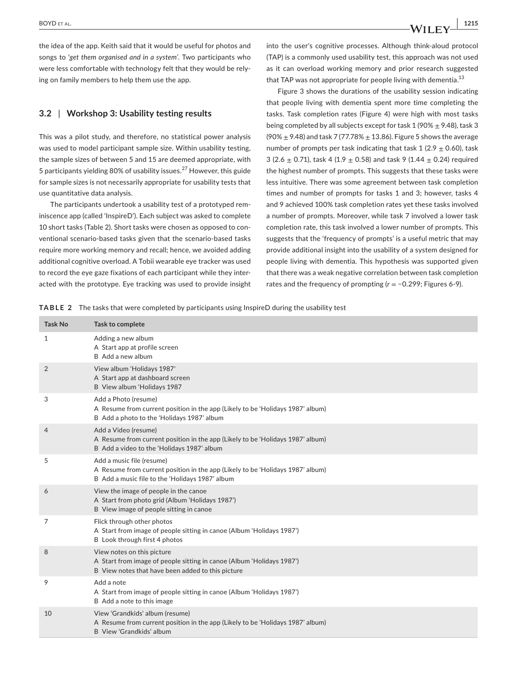the idea of the app. Keith said that it would be useful for photos and songs to '*get them organised and in a system'*. Two participants who were less comfortable with technology felt that they would be relying on family members to help them use the app.

# **3.2** | **Workshop 3: Usability testing results**

This was a pilot study, and therefore, no statistical power analysis was used to model participant sample size. Within usability testing, the sample sizes of between 5 and 15 are deemed appropriate, with 5 participants yielding 80% of usability issues.<sup>27</sup> However, this guide for sample sizes is not necessarily appropriate for usability tests that use quantitative data analysis.

The participants undertook a usability test of a prototyped reminiscence app (called 'InspireD'). Each subject was asked to complete 10 short tasks (Table 2). Short tasks were chosen as opposed to conventional scenario-based tasks given that the scenario-based tasks require more working memory and recall; hence, we avoided adding additional cognitive overload. A Tobii wearable eye tracker was used to record the eye gaze fixations of each participant while they interacted with the prototype. Eye tracking was used to provide insight into the user's cognitive processes. Although think-aloud protocol (TAP) is a commonly used usability test, this approach was not used as it can overload working memory and prior research suggested that TAP was not appropriate for people living with dementia.<sup>13</sup>

Figure 3 shows the durations of the usability session indicating that people living with dementia spent more time completing the tasks. Task completion rates (Figure 4) were high with most tasks being completed by all subjects except for task 1 (90%  $\pm$  9.48), task 3 (90%  $\pm$  9.48) and task 7 (77.78%  $\pm$  13.86). Figure 5 shows the average number of prompts per task indicating that task 1 (2.9  $\pm$  0.60), task 3 (2.6  $\pm$  0.71), task 4 (1.9  $\pm$  0.58) and task 9 (1.44  $\pm$  0.24) required the highest number of prompts. This suggests that these tasks were less intuitive. There was some agreement between task completion times and number of prompts for tasks 1 and 3; however, tasks 4 and 9 achieved 100% task completion rates yet these tasks involved a number of prompts. Moreover, while task 7 involved a lower task completion rate, this task involved a lower number of prompts. This suggests that the 'frequency of prompts' is a useful metric that may provide additional insight into the usability of a system designed for people living with dementia. This hypothesis was supported given that there was a weak negative correlation between task completion rates and the frequency of prompting (*r* = −0.299; Figures 6-9).

**TABLE 2** The tasks that were completed by participants using InspireD during the usability test

| <b>Task No</b> | Task to complete                                                                                                                                               |
|----------------|----------------------------------------------------------------------------------------------------------------------------------------------------------------|
| 1              | Adding a new album<br>A Start app at profile screen<br>B Add a new album                                                                                       |
| $\overline{2}$ | View album 'Holidays 1987'<br>A Start app at dashboard screen<br>B View album 'Holidays 1987                                                                   |
| 3              | Add a Photo (resume)<br>A Resume from current position in the app (Likely to be 'Holidays 1987' album)<br>B Add a photo to the 'Holidays 1987' album           |
| 4              | Add a Video (resume)<br>A Resume from current position in the app (Likely to be 'Holidays 1987' album)<br>B Add a video to the 'Holidays 1987' album           |
| 5              | Add a music file (resume)<br>A Resume from current position in the app (Likely to be 'Holidays 1987' album)<br>B Add a music file to the 'Holidays 1987' album |
| 6              | View the image of people in the canoe<br>A Start from photo grid (Album 'Holidays 1987')<br>B View image of people sitting in canoe                            |
| 7              | Flick through other photos<br>A Start from image of people sitting in canoe (Album 'Holidays 1987')<br>B Look through first 4 photos                           |
| 8              | View notes on this picture<br>A Start from image of people sitting in canoe (Album 'Holidays 1987')<br>B View notes that have been added to this picture       |
| 9              | Add a note<br>A Start from image of people sitting in canoe (Album 'Holidays 1987')<br>B Add a note to this image                                              |
| 10             | View 'Grandkids' album (resume)<br>A Resume from current position in the app (Likely to be 'Holidays 1987' album)<br><b>B</b> View 'Grandkids' album           |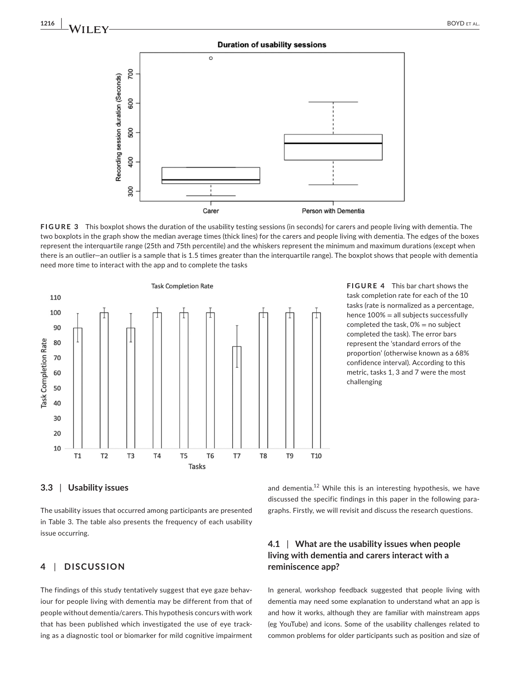#### **Duration of usability sessions**



**FIGURE 3** This boxplot shows the duration of the usability testing sessions (in seconds) for carers and people living with dementia. The two boxplots in the graph show the median average times (thick lines) for the carers and people living with dementia. The edges of the boxes represent the interquartile range (25th and 75th percentile) and the whiskers represent the minimum and maximum durations (except when there is an outlier—an outlier is a sample that is 1.5 times greater than the interquartile range). The boxplot shows that people with dementia need more time to interact with the app and to complete the tasks



**FIGURE 4** This bar chart shows the task completion rate for each of the 10 tasks (rate is normalized as a percentage, hence 100% = all subjects successfully completed the task,  $0\%$  = no subject completed the task). The error bars represent the 'standard errors of the proportion' (otherwise known as a 68% confidence interval). According to this metric, tasks 1, 3 and 7 were the most challenging

#### **3.3** | **Usability issues**

The usability issues that occurred among participants are presented in Table 3. The table also presents the frequency of each usability issue occurring.

# **4** | **DISCUSSION**

The findings of this study tentatively suggest that eye gaze behaviour for people living with dementia may be different from that of people without dementia/carers. This hypothesis concurs with work that has been published which investigated the use of eye tracking as a diagnostic tool or biomarker for mild cognitive impairment

and dementia.<sup>12</sup> While this is an interesting hypothesis, we have discussed the specific findings in this paper in the following paragraphs. Firstly, we will revisit and discuss the research questions.

# **4.1** | **What are the usability issues when people living with dementia and carers interact with a reminiscence app?**

In general, workshop feedback suggested that people living with dementia may need some explanation to understand what an app is and how it works, although they are familiar with mainstream apps (eg YouTube) and icons. Some of the usability challenges related to common problems for older participants such as position and size of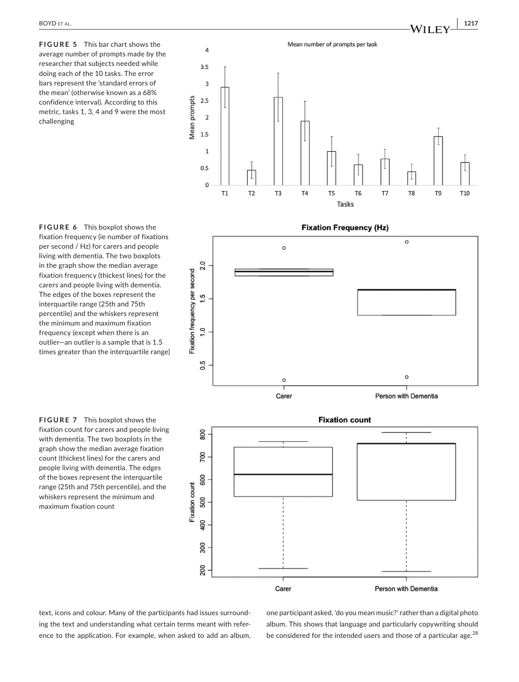**FIGURE 5** This bar chart shows the average number of prompts made by the researcher that subjects needed while doing each of the 10 tasks. The error bars represent the 'standard errors of the mean' (otherwise known as a 68% confidence interval). According to this metric, tasks 1, 3, 4 and 9 were the most challenging













text, icons and colour. Many of the participants had issues surrounding the text and understanding what certain terms meant with reference to the application. For example, when asked to add an album, one participant asked, 'do you mean music?' rather than a digital photo album. This shows that language and particularly copywriting should be considered for the intended users and those of a particular age.<sup>28</sup>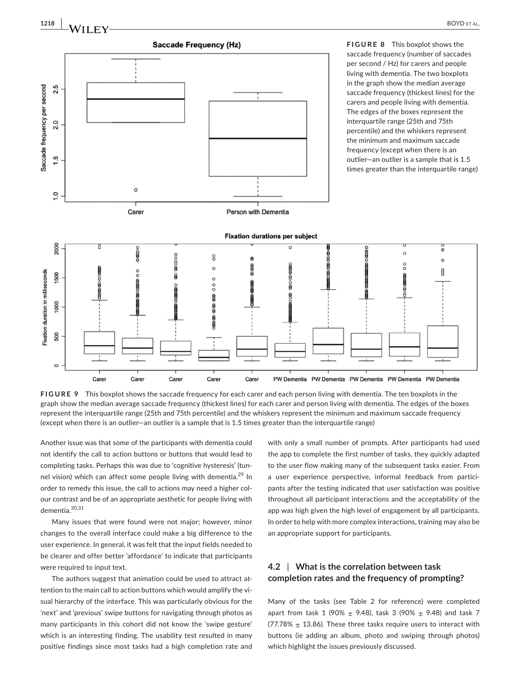

**FIGURE 9** This boxplot shows the saccade frequency for each carer and each person living with dementia. The ten boxplots in the graph show the median average saccade frequency (thickest lines) for each carer and person living with dementia. The edges of the boxes represent the interquartile range (25th and 75th percentile) and the whiskers represent the minimum and maximum saccade frequency (except when there is an outlier—an outlier is a sample that is 1.5 times greater than the interquartile range)

Another issue was that some of the participants with dementia could not identify the call to action buttons or buttons that would lead to completing tasks. Perhaps this was due to 'cognitive hysteresis' (tunnel vision) which can affect some people living with dementia.<sup>29</sup> In order to remedy this issue, the call to actions may need a higher colour contrast and be of an appropriate aesthetic for people living with dementia.30,31

Many issues that were found were not major; however, minor changes to the overall interface could make a big difference to the user experience. In general, it was felt that the input fields needed to be clearer and offer better 'affordance' to indicate that participants were required to input text.

The authors suggest that animation could be used to attract attention to the main call to action buttons which would amplify the visual hierarchy of the interface. This was particularly obvious for the 'next' and 'previous' swipe buttons for navigating through photos as many participants in this cohort did not know the 'swipe gesture' which is an interesting finding. The usability test resulted in many positive findings since most tasks had a high completion rate and

with only a small number of prompts. After participants had used the app to complete the first number of tasks, they quickly adapted to the user flow making many of the subsequent tasks easier. From a user experience perspective, informal feedback from participants after the testing indicated that user satisfaction was positive throughout all participant interactions and the acceptability of the app was high given the high level of engagement by all participants. In order to help with more complex interactions, training may also be an appropriate support for participants.

# **4.2** | **What is the correlation between task completion rates and the frequency of prompting?**

Many of the tasks (see Table 2 for reference) were completed apart from task 1 (90%  $\pm$  9.48), task 3 (90%  $\pm$  9.48) and task 7 (77.78%  $\pm$  13.86). These three tasks require users to interact with buttons (ie adding an album, photo and swiping through photos) which highlight the issues previously discussed.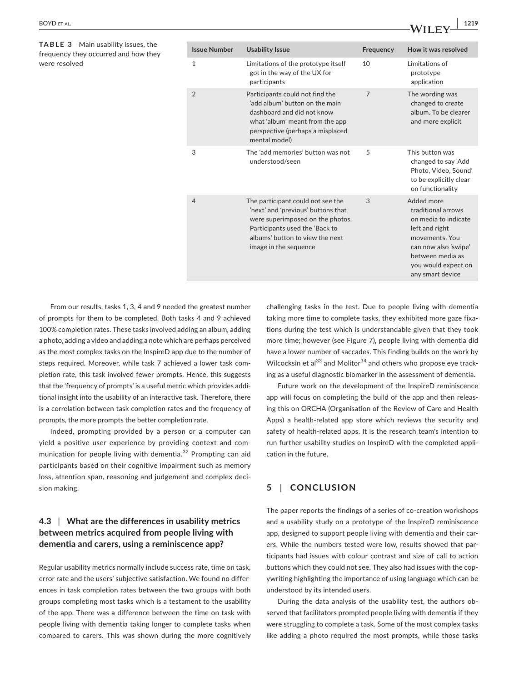| <b>BOYD</b> ET AL. | 1219<br>$\lambda / \mathbf{H}$ $\mathbf{F}$ |  |
|--------------------|---------------------------------------------|--|
|                    |                                             |  |

**TABLE 3** Main usability issues, the frequency they occurred and how they were resolved

| <b>Issue Number</b> | <b>Usability Issue</b>                                                                                                                                                                                    | Frequency      | How it was resolved                                                                                                                                                                 |
|---------------------|-----------------------------------------------------------------------------------------------------------------------------------------------------------------------------------------------------------|----------------|-------------------------------------------------------------------------------------------------------------------------------------------------------------------------------------|
| $\mathbf{1}$        | Limitations of the prototype itself<br>got in the way of the UX for<br>participants                                                                                                                       | 10             | Limitations of<br>prototype<br>application                                                                                                                                          |
| $\overline{2}$      | Participants could not find the<br>'add album' button on the main<br>dashboard and did not know<br>what 'album' meant from the app<br>perspective (perhaps a misplaced<br>mental model)                   | $\overline{7}$ | The wording was<br>changed to create<br>album. To be clearer<br>and more explicit                                                                                                   |
| 3                   | The 'add memories' button was not<br>understood/seen                                                                                                                                                      | 5              | This button was<br>changed to say 'Add<br>Photo, Video, Sound'<br>to be explicitly clear<br>on functionality                                                                        |
| $\overline{4}$      | The participant could not see the<br>'next' and 'previous' buttons that<br>were superimposed on the photos.<br>Participants used the 'Back to<br>albums' button to view the next<br>image in the sequence | 3              | Added more<br>traditional arrows<br>on media to indicate<br>left and right<br>movements. You<br>can now also 'swipe'<br>between media as<br>you would expect on<br>any smart device |

From our results, tasks 1, 3, 4 and 9 needed the greatest number of prompts for them to be completed. Both tasks 4 and 9 achieved 100% completion rates. These tasks involved adding an album, adding a photo, adding a video and adding a note which are perhaps perceived as the most complex tasks on the InspireD app due to the number of steps required. Moreover, while task 7 achieved a lower task completion rate, this task involved fewer prompts. Hence, this suggests that the 'frequency of prompts' is a useful metric which provides additional insight into the usability of an interactive task. Therefore, there is a correlation between task completion rates and the frequency of prompts, the more prompts the better completion rate.

Indeed, prompting provided by a person or a computer can yield a positive user experience by providing context and communication for people living with dementia.<sup>32</sup> Prompting can aid participants based on their cognitive impairment such as memory loss, attention span, reasoning and judgement and complex decision making.

# **4.3** | **What are the differences in usability metrics between metrics acquired from people living with dementia and carers, using a reminiscence app?**

Regular usability metrics normally include success rate, time on task, error rate and the users' subjective satisfaction. We found no differences in task completion rates between the two groups with both groups completing most tasks which is a testament to the usability of the app. There was a difference between the time on task with people living with dementia taking longer to complete tasks when compared to carers. This was shown during the more cognitively

challenging tasks in the test. Due to people living with dementia taking more time to complete tasks, they exhibited more gaze fixations during the test which is understandable given that they took more time; however (see Figure 7), people living with dementia did have a lower number of saccades. This finding builds on the work by Wilcocksin et al $^{33}$  and Molitor $^{34}$  and others who propose eye tracking as a useful diagnostic biomarker in the assessment of dementia.

Future work on the development of the InspireD reminiscence app will focus on completing the build of the app and then releasing this on ORCHA (Organisation of the Review of Care and Health Apps) a health-related app store which reviews the security and safety of health-related apps. It is the research team's intention to run further usability studies on InspireD with the completed application in the future.

# **5** | **CONCLUSION**

The paper reports the findings of a series of co-creation workshops and a usability study on a prototype of the InspireD reminiscence app, designed to support people living with dementia and their carers. While the numbers tested were low, results showed that participants had issues with colour contrast and size of call to action buttons which they could not see. They also had issues with the copywriting highlighting the importance of using language which can be understood by its intended users.

During the data analysis of the usability test, the authors observed that facilitators prompted people living with dementia if they were struggling to complete a task. Some of the most complex tasks like adding a photo required the most prompts, while those tasks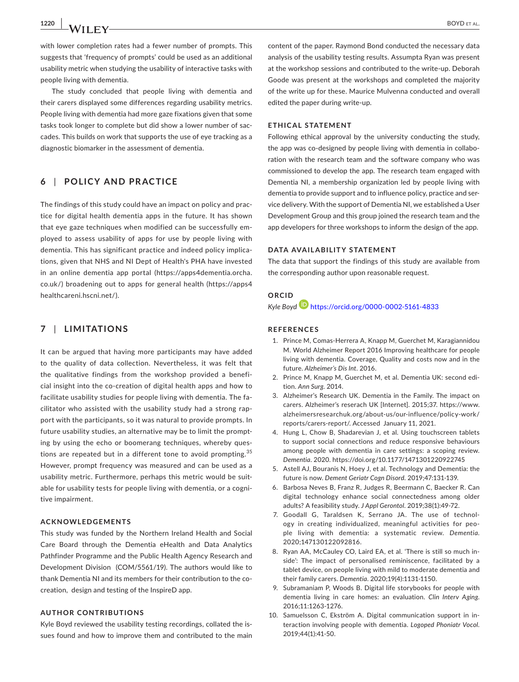with lower completion rates had a fewer number of prompts. This suggests that 'frequency of prompts' could be used as an additional usability metric when studying the usability of interactive tasks with people living with dementia.

The study concluded that people living with dementia and their carers displayed some differences regarding usability metrics. People living with dementia had more gaze fixations given that some tasks took longer to complete but did show a lower number of saccades. This builds on work that supports the use of eye tracking as a diagnostic biomarker in the assessment of dementia.

## **6** | **POLICY AND PRACTICE**

The findings of this study could have an impact on policy and practice for digital health dementia apps in the future. It has shown that eye gaze techniques when modified can be successfully employed to assess usability of apps for use by people living with dementia. This has significant practice and indeed policy implications, given that NHS and NI Dept of Health's PHA have invested in an online dementia app portal ([https://apps4dementia.orcha.](https://apps4dementia.orcha.co.uk/) [co.uk/](https://apps4dementia.orcha.co.uk/)) broadening out to apps for general health [\(https://apps4](https://apps4healthcareni.hscni.net/) [healthcareni.hscni.net/\)](https://apps4healthcareni.hscni.net/).

# **7** | **LIMITATIONS**

It can be argued that having more participants may have added to the quality of data collection. Nevertheless, it was felt that the qualitative findings from the workshop provided a beneficial insight into the co-creation of digital health apps and how to facilitate usability studies for people living with dementia. The facilitator who assisted with the usability study had a strong rapport with the participants, so it was natural to provide prompts. In future usability studies, an alternative may be to limit the prompting by using the echo or boomerang techniques, whereby questions are repeated but in a different tone to avoid prompting.<sup>35</sup> However, prompt frequency was measured and can be used as a usability metric. Furthermore, perhaps this metric would be suitable for usability tests for people living with dementia, or a cognitive impairment.

#### **ACKNOWLEDGEMENTS**

This study was funded by the Northern Ireland Health and Social Care Board through the Dementia eHealth and Data Analytics Pathfinder Programme and the Public Health Agency Research and Development Division (COM/5561/19). The authors would like to thank Dementia NI and its members for their contribution to the cocreation, design and testing of the InspireD app.

#### **AUTHOR CONTRIBUTIONS**

Kyle Boyd reviewed the usability testing recordings, collated the issues found and how to improve them and contributed to the main

content of the paper. Raymond Bond conducted the necessary data analysis of the usability testing results. Assumpta Ryan was present at the workshop sessions and contributed to the write-up. Deborah Goode was present at the workshops and completed the majority of the write up for these. Maurice Mulvenna conducted and overall edited the paper during write-up.

#### **ETHICAL STATEMENT**

Following ethical approval by the university conducting the study, the app was co-designed by people living with dementia in collaboration with the research team and the software company who was commissioned to develop the app. The research team engaged with Dementia NI, a membership organization led by people living with dementia to provide support and to influence policy, practice and service delivery. With the support of Dementia NI, we established a User Development Group and this group joined the research team and the app developers for three workshops to inform the design of the app.

#### **DATA AVAILABILITY STATEMENT**

The data that support the findings of this study are available from the corresponding author upon reasonable request.

## **ORCID**

*Kyle Boyd* <https://orcid.org/0000-0002-5161-4833>

### **REFERENCES**

- 1. Prince M, Comas-Herrera A, Knapp M, Guerchet M, Karagiannidou M. World Alzheimer Report 2016 Improving healthcare for people living with dementia. Coverage, Quality and costs now and in the future. *Alzheimer's Dis Int*. 2016.
- 2. Prince M, Knapp M, Guerchet M, et al. Dementia UK: second edition. *Ann Surg*. 2014.
- 3. Alzheimer's Research UK. Dementia in the Family. The impact on carers. Alzheimer's reserach UK [Internet]. 2015;37. [https://www.](https://www.alzheimersresearchuk.org/about-us/our-influence/policy-work/reports/carers-report/) [alzheimersresearchuk.org/about-us/our-influence/policy-work/](https://www.alzheimersresearchuk.org/about-us/our-influence/policy-work/reports/carers-report/) [reports/carers-report/.](https://www.alzheimersresearchuk.org/about-us/our-influence/policy-work/reports/carers-report/) Accessed January 11, 2021.
- 4. Hung L, Chow B, Shadarevian J, et al. Using touchscreen tablets to support social connections and reduce responsive behaviours among people with dementia in care settings: a scoping review. *Dementia*. 2020. <https://doi.org/10.1177/1471301220922745>
- 5. Astell AJ, Bouranis N, Hoey J, et al. Technology and Dementia: the future is now. *Dement Geriatr Cogn Disord*. 2019;47:131-139.
- 6. Barbosa Neves B, Franz R, Judges R, Beermann C, Baecker R. Can digital technology enhance social connectedness among older adults? A feasibility study. *J Appl Gerontol*. 2019;38(1):49-72.
- 7. Goodall G, Taraldsen K, Serrano JA. The use of technology in creating individualized, meaningful activities for people living with dementia: a systematic review. *Dementia*. 2020;147130122092816.
- 8. Ryan AA, McCauley CO, Laird EA, et al. 'There is still so much inside': The impact of personalised reminiscence, facilitated by a tablet device, on people living with mild to moderate dementia and their family carers. *Dementia*. 2020;19(4):1131-1150.
- 9. Subramaniam P, Woods B. Digital life storybooks for people with dementia living in care homes: an evaluation. *Clin Interv Aging*. 2016;11:1263-1276.
- 10. Samuelsson C, Ekström A. Digital communication support in interaction involving people with dementia. *Logoped Phoniatr Vocol*. 2019;44(1):41-50.